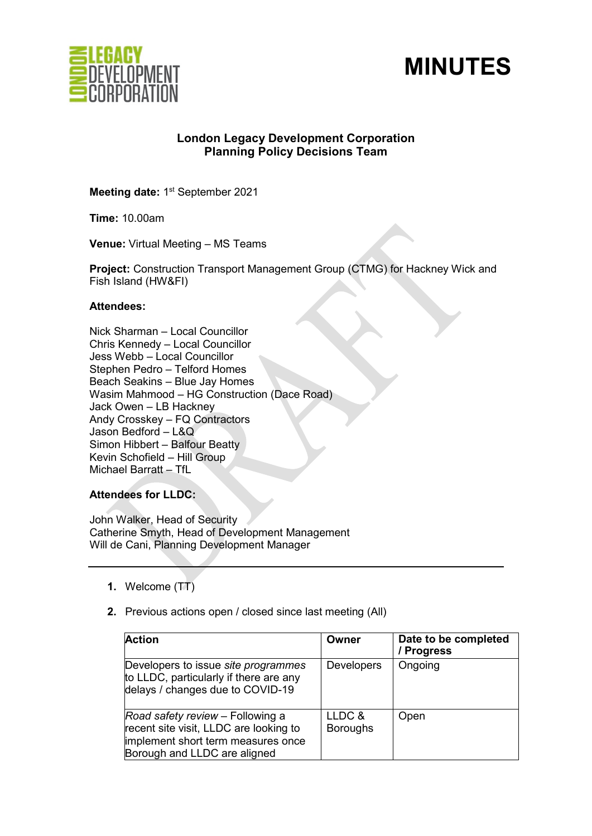



# **London Legacy Development Corporation Planning Policy Decisions Team**

**Meeting date: 1st September 2021** 

**Time:** 10.00am

**Venue:** Virtual Meeting – MS Teams

**Project:** Construction Transport Management Group (CTMG) for Hackney Wick and Fish Island (HW&FI)

### **Attendees:**

Nick Sharman – Local Councillor Chris Kennedy – Local Councillor Jess Webb – Local Councillor Stephen Pedro – Telford Homes Beach Seakins – Blue Jay Homes Wasim Mahmood – HG Construction (Dace Road) Jack Owen – LB Hackney Andy Crosskey – FQ Contractors Jason Bedford – L&Q Simon Hibbert – Balfour Beatty Kevin Schofield – Hill Group Michael Barratt – TfL

**Attendees for LLDC:**

John Walker, Head of Security Catherine Smyth, Head of Development Management Will de Cani, Planning Development Manager

- **1.** Welcome (TT)
- **2.** Previous actions open / closed since last meeting (All)

| <b>Action</b>                                                                                                                                    | Owner                     | Date to be completed<br>/ Progress |
|--------------------------------------------------------------------------------------------------------------------------------------------------|---------------------------|------------------------------------|
| Developers to issue site programmes<br>to LLDC, particularly if there are any<br>delays / changes due to COVID-19                                | <b>Developers</b>         | Ongoing                            |
| Road safety review - Following a<br>recent site visit, LLDC are looking to<br>implement short term measures once<br>Borough and LLDC are aligned | LLDC &<br><b>Boroughs</b> | Open                               |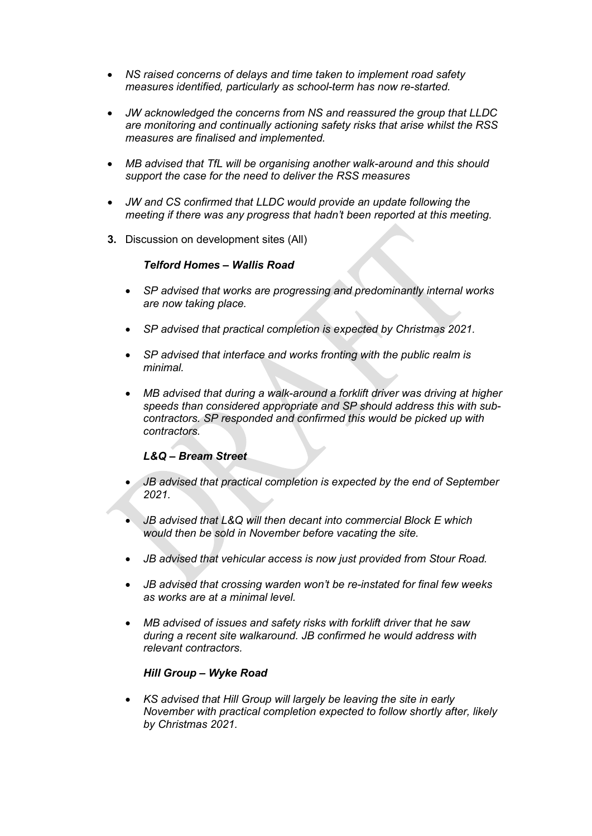- *NS raised concerns of delays and time taken to implement road safety measures identified, particularly as school-term has now re-started.*
- *JW acknowledged the concerns from NS and reassured the group that LLDC are monitoring and continually actioning safety risks that arise whilst the RSS measures are finalised and implemented.*
- *MB advised that TfL will be organising another walk-around and this should support the case for the need to deliver the RSS measures*
- *JW and CS confirmed that LLDC would provide an update following the meeting if there was any progress that hadn't been reported at this meeting.*
- **3.** Discussion on development sites (All)

### *Telford Homes – Wallis Road*

- *SP advised that works are progressing and predominantly internal works are now taking place.*
- *SP advised that practical completion is expected by Christmas 2021.*
- *SP advised that interface and works fronting with the public realm is minimal.*
- *MB advised that during a walk-around a forklift driver was driving at higher speeds than considered appropriate and SP should address this with subcontractors. SP responded and confirmed this would be picked up with contractors.*

## *L&Q – Bream Street*

- *JB advised that practical completion is expected by the end of September 2021.*
- *JB advised that L&Q will then decant into commercial Block E which would then be sold in November before vacating the site.*
- *JB advised that vehicular access is now just provided from Stour Road.*
- *JB advised that crossing warden won't be re-instated for final few weeks as works are at a minimal level.*
- *MB advised of issues and safety risks with forklift driver that he saw during a recent site walkaround. JB confirmed he would address with relevant contractors.*

#### *Hill Group – Wyke Road*

• *KS advised that Hill Group will largely be leaving the site in early November with practical completion expected to follow shortly after, likely by Christmas 2021.*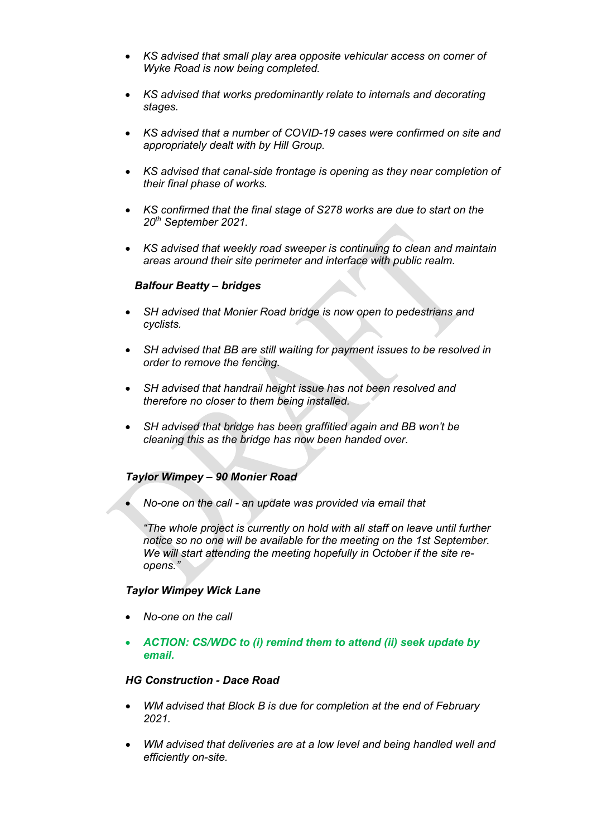- *KS advised that small play area opposite vehicular access on corner of Wyke Road is now being completed.*
- *KS advised that works predominantly relate to internals and decorating stages.*
- *KS advised that a number of COVID-19 cases were confirmed on site and appropriately dealt with by Hill Group.*
- *KS advised that canal-side frontage is opening as they near completion of their final phase of works.*
- *KS confirmed that the final stage of S278 works are due to start on the 20th September 2021.*
- *KS advised that weekly road sweeper is continuing to clean and maintain areas around their site perimeter and interface with public realm.*

#### *Balfour Beatty – bridges*

- *SH advised that Monier Road bridge is now open to pedestrians and cyclists.*
- *SH advised that BB are still waiting for payment issues to be resolved in order to remove the fencing.*
- *SH advised that handrail height issue has not been resolved and therefore no closer to them being installed.*
- *SH advised that bridge has been graffitied again and BB won't be cleaning this as the bridge has now been handed over.*

## *Taylor Wimpey – 90 Monier Road*

• *No-one on the call - an update was provided via email that*

*"The whole project is currently on hold with all staff on leave until further notice so no one will be available for the meeting on the 1st September. We will start attending the meeting hopefully in October if the site reopens."*

#### *Taylor Wimpey Wick Lane*

- *No-one on the call*
- *ACTION: CS/WDC to (i) remind them to attend (ii) seek update by email.*

#### *HG Construction - Dace Road*

- *WM advised that Block B is due for completion at the end of February 2021.*
- *WM advised that deliveries are at a low level and being handled well and efficiently on-site.*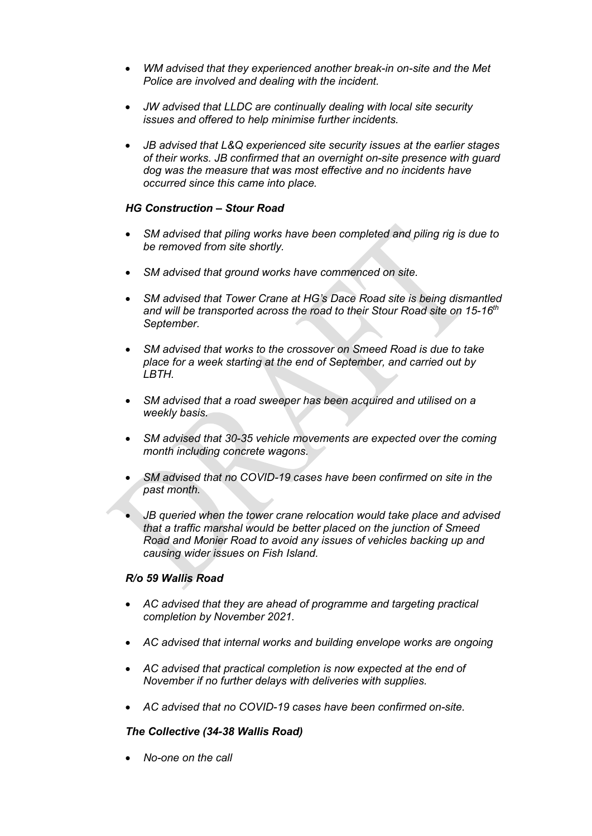- *WM advised that they experienced another break-in on-site and the Met Police are involved and dealing with the incident.*
- *JW advised that LLDC are continually dealing with local site security issues and offered to help minimise further incidents.*
- *JB advised that L&Q experienced site security issues at the earlier stages of their works. JB confirmed that an overnight on-site presence with guard dog was the measure that was most effective and no incidents have occurred since this came into place.*

## *HG Construction – Stour Road*

- *SM advised that piling works have been completed and piling rig is due to be removed from site shortly.*
- *SM advised that ground works have commenced on site.*
- *SM advised that Tower Crane at HG's Dace Road site is being dismantled and will be transported across the road to their Stour Road site on 15-16th September.*
- *SM advised that works to the crossover on Smeed Road is due to take place for a week starting at the end of September, and carried out by LBTH.*
- *SM advised that a road sweeper has been acquired and utilised on a weekly basis.*
- *SM advised that 30-35 vehicle movements are expected over the coming month including concrete wagons.*
- *SM advised that no COVID-19 cases have been confirmed on site in the past month.*
- *JB queried when the tower crane relocation would take place and advised that a traffic marshal would be better placed on the junction of Smeed Road and Monier Road to avoid any issues of vehicles backing up and causing wider issues on Fish Island.*

#### *R/o 59 Wallis Road*

- *AC advised that they are ahead of programme and targeting practical completion by November 2021.*
- *AC advised that internal works and building envelope works are ongoing*
- *AC advised that practical completion is now expected at the end of November if no further delays with deliveries with supplies.*
- *AC advised that no COVID-19 cases have been confirmed on-site.*

#### *The Collective (34-38 Wallis Road)*

• *No-one on the call*